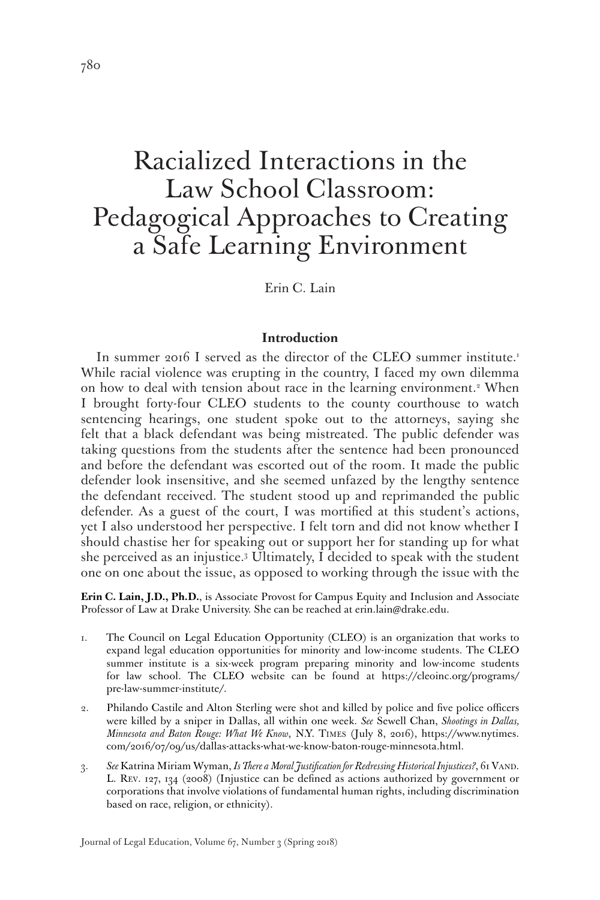# Racialized Interactions in the Law School Classroom: Pedagogical Approaches to Creating a Safe Learning Environment

Erin C. Lain

## **Introduction**

In summer 2016 I served as the director of the CLEO summer institute.<sup>1</sup> While racial violence was erupting in the country, I faced my own dilemma on how to deal with tension about race in the learning environment.<sup>2</sup> When I brought forty-four CLEO students to the county courthouse to watch sentencing hearings, one student spoke out to the attorneys, saying she felt that a black defendant was being mistreated. The public defender was taking questions from the students after the sentence had been pronounced and before the defendant was escorted out of the room. It made the public defender look insensitive, and she seemed unfazed by the lengthy sentence the defendant received. The student stood up and reprimanded the public defender. As a guest of the court, I was mortified at this student's actions, yet I also understood her perspective. I felt torn and did not know whether I should chastise her for speaking out or support her for standing up for what she perceived as an injustice.3 Ultimately, I decided to speak with the student one on one about the issue, as opposed to working through the issue with the

**Erin C. Lain, J.D., Ph.D.**, is Associate Provost for Campus Equity and Inclusion and Associate Professor of Law at Drake University. She can be reached at erin.lain@drake.edu.

- 1. The Council on Legal Education Opportunity (CLEO) is an organization that works to expand legal education opportunities for minority and low-income students. The CLEO summer institute is a six-week program preparing minority and low-income students for law school. The CLEO website can be found at https://cleoinc.org/programs/ pre-law-summer-institute/.
- 2. Philando Castile and Alton Sterling were shot and killed by police and five police officers were killed by a sniper in Dallas, all within one week. *See* Sewell Chan, *Shootings in Dallas, Minnesota and Baton Rouge: What We Know*, N.Y. Times (July 8, 2016), https://www.nytimes. com/2016/07/09/us/dallas-attacks-what-we-know-baton-rouge-minnesota.html.
- 3. *See* Katrina Miriam Wyman, *Is There a Moral Justification for Redressing Historical Injustices?*, 61 Vand. L. Rev. 127, 134 (2008) (Injustice can be defined as actions authorized by government or corporations that involve violations of fundamental human rights, including discrimination based on race, religion, or ethnicity).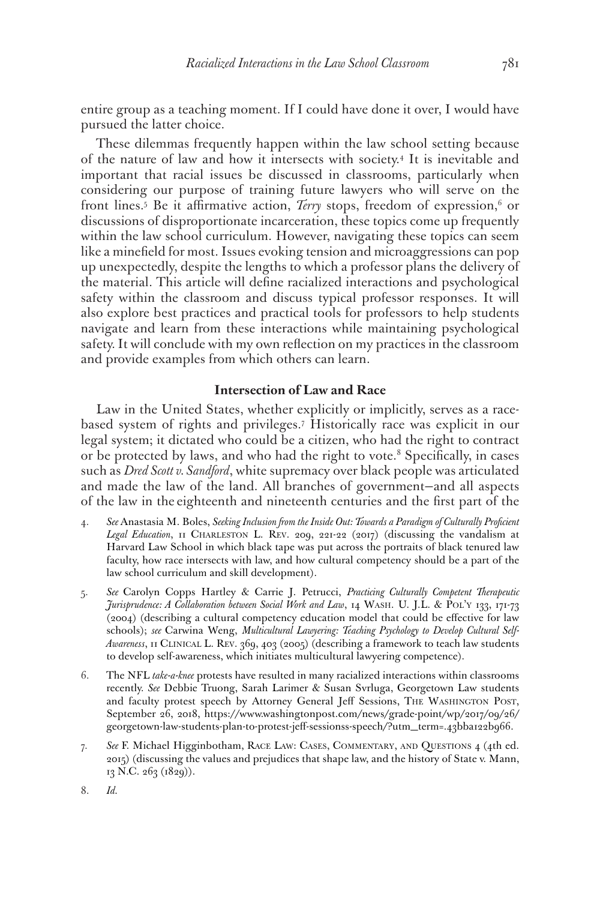entire group as a teaching moment. If I could have done it over, I would have pursued the latter choice.

These dilemmas frequently happen within the law school setting because of the nature of law and how it intersects with society.4 It is inevitable and important that racial issues be discussed in classrooms, particularly when considering our purpose of training future lawyers who will serve on the front lines.<sup>5</sup> Be it affirmative action, *Terry* stops, freedom of expression,<sup>6</sup> or discussions of disproportionate incarceration, these topics come up frequently within the law school curriculum. However, navigating these topics can seem like a minefield for most. Issues evoking tension and microaggressions can pop up unexpectedly, despite the lengths to which a professor plans the delivery of the material. This article will define racialized interactions and psychological safety within the classroom and discuss typical professor responses. It will also explore best practices and practical tools for professors to help students navigate and learn from these interactions while maintaining psychological safety. It will conclude with my own reflection on my practices in the classroom and provide examples from which others can learn.

## **Intersection of Law and Race**

Law in the United States, whether explicitly or implicitly, serves as a racebased system of rights and privileges.7 Historically race was explicit in our legal system; it dictated who could be a citizen, who had the right to contract or be protected by laws, and who had the right to vote.<sup>8</sup> Specifically, in cases such as *Dred Scott v. Sandford*, white supremacy over black people was articulated and made the law of the land. All branches of government—and all aspects of the law in the eighteenth and nineteenth centuries and the first part of the

- 4. *See* Anastasia M. Boles, *Seeking Inclusion from the Inside Out: Towards a Paradigm of Culturally Proficient*  Legal Education, 11 CHARLESTON L. REV. 209, 221-22 (2017) (discussing the vandalism at Harvard Law School in which black tape was put across the portraits of black tenured law faculty, how race intersects with law, and how cultural competency should be a part of the law school curriculum and skill development).
- 5. *See* Carolyn Copps Hartley & Carrie J. Petrucci, *Practicing Culturally Competent Therapeutic Jurisprudence: A Collaboration between Social Work and Law*, 14 Wash. U. J.L. & Pol'y 133, 171-73 (2004) (describing a cultural competency education model that could be effective for law schools); *see* Carwina Weng, *Multicultural Lawyering: Teaching Psychology to Develop Cultural Self-Awareness*, 11 Clinical L. Rev. 369, 403 (2005) (describing a framework to teach law students to develop self-awareness, which initiates multicultural lawyering competence).
- 6. The NFL *take-a-knee* protests have resulted in many racialized interactions within classrooms recently. *See* Debbie Truong, Sarah Larimer & Susan Svrluga, Georgetown Law students and faculty protest speech by Attorney General Jeff Sessions, The Washington Post, September 26, 2018, https://www.washingtonpost.com/news/grade-point/wp/2017/09/26/ georgetown-law-students-plan-to-protest-jeff-sessionss-speech/?utm\_term=.43bba122b966.
- 7. *See* F. Michael Higginbotham, Race Law: Cases, Commentary, and Questions 4 (4th ed. 2015) (discussing the values and prejudices that shape law, and the history of State v. Mann, 13 N.C. 263 (1829)).
- 8. *Id.*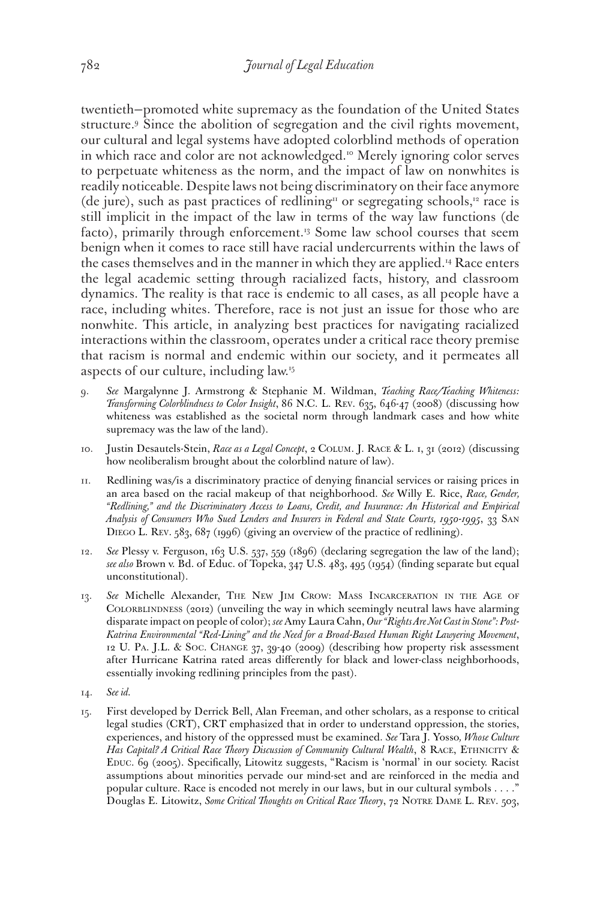twentieth—promoted white supremacy as the foundation of the United States structure.9 Since the abolition of segregation and the civil rights movement, our cultural and legal systems have adopted colorblind methods of operation in which race and color are not acknowledged.<sup>10</sup> Merely ignoring color serves to perpetuate whiteness as the norm, and the impact of law on nonwhites is readily noticeable. Despite laws not being discriminatory on their face anymore (de jure), such as past practices of redlining<sup> $\pi$ </sup> or segregating schools,<sup>12</sup> race is still implicit in the impact of the law in terms of the way law functions (de facto), primarily through enforcement.<sup>13</sup> Some law school courses that seem benign when it comes to race still have racial undercurrents within the laws of the cases themselves and in the manner in which they are applied.<sup>14</sup> Race enters the legal academic setting through racialized facts, history, and classroom dynamics. The reality is that race is endemic to all cases, as all people have a race, including whites. Therefore, race is not just an issue for those who are nonwhite. This article, in analyzing best practices for navigating racialized interactions within the classroom, operates under a critical race theory premise that racism is normal and endemic within our society, and it permeates all aspects of our culture, including law.15

- 9. *See* Margalynne J. Armstrong & Stephanie M. Wildman, *Teaching Race/Teaching Whiteness: Transforming Colorblindness to Color Insight*, 86 N.C. L. Rev. 635, 646-47 (2008) (discussing how whiteness was established as the societal norm through landmark cases and how white supremacy was the law of the land).
- 10. Justin Desautels-Stein, *Race as a Legal Concept*, 2 Colum. J. Race & L. 1, 31 (2012) (discussing how neoliberalism brought about the colorblind nature of law).
- 11. Redlining was/is a discriminatory practice of denying financial services or raising prices in an area based on the racial makeup of that neighborhood. *See* Willy E. Rice, *Race, Gender, "Redlining," and the Discriminatory Access to Loans, Credit, and Insurance: An Historical and Empirical Analysis of Consumers Who Sued Lenders and Insurers in Federal and State Courts, 1950-1995*, 33 San DIEGO L. REV. 583, 687 (1996) (giving an overview of the practice of redlining).
- 12. *See* Plessy v. Ferguson, 163 U.S. 537, 559 (1896) (declaring segregation the law of the land); *see also* Brown v. Bd. of Educ. of Topeka, 347 U.S. 483, 495 (1954) (finding separate but equal unconstitutional).
- 13. *See* Michelle Alexander, The New Jim Crow: Mass Incarceration in the Age of COLORBLINDNESS (2012) (unveiling the way in which seemingly neutral laws have alarming disparate impact on people of color); *see* Amy Laura Cahn, *Our "Rights Are Not Cast in Stone": Post-Katrina Environmental "Red-Lining" and the Need for a Broad-Based Human Right Lawyering Movement*, 12 U. Pa. J.L. & Soc. Change 37, 39-40 (2009) (describing how property risk assessment after Hurricane Katrina rated areas differently for black and lower-class neighborhoods, essentially invoking redlining principles from the past).
- 14. *See id.*
- 15. First developed by Derrick Bell, Alan Freeman, and other scholars, as a response to critical legal studies (CRT), CRT emphasized that in order to understand oppression, the stories, experiences, and history of the oppressed must be examined. *See* Tara J. Yosso*, Whose Culture*  Has Capital? A Critical Race Theory Discussion of Community Cultural Wealth, 8 RACE, ETHNICITY & Educ. 69 (2005). Specifically, Litowitz suggests, "Racism is 'normal' in our society. Racist assumptions about minorities pervade our mind-set and are reinforced in the media and popular culture. Race is encoded not merely in our laws, but in our cultural symbols . . . ." Douglas E. Litowitz, *Some Critical Thoughts on Critical Race Theory*, 72 Notre Dame L. Rev. 503,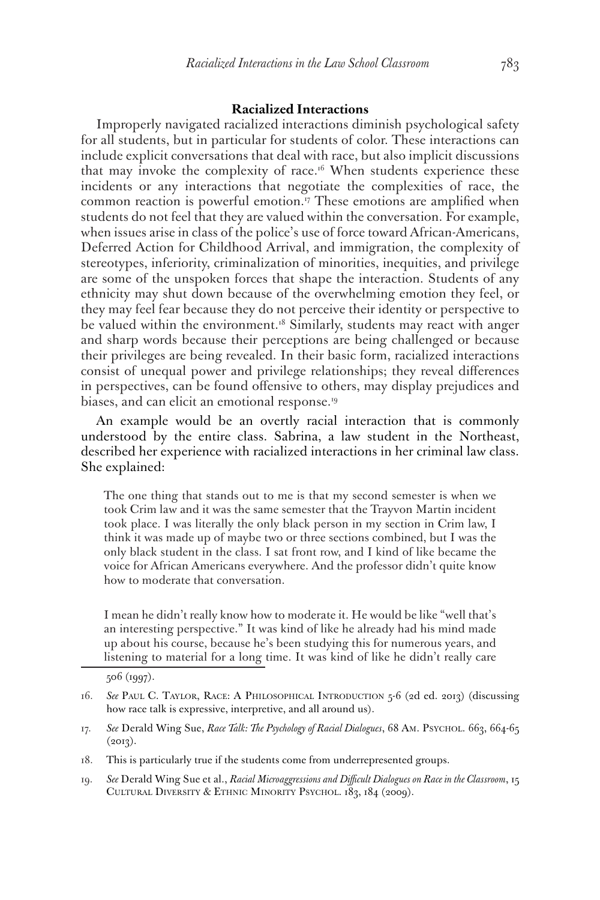## **Racialized Interactions**

Improperly navigated racialized interactions diminish psychological safety for all students, but in particular for students of color. These interactions can include explicit conversations that deal with race, but also implicit discussions that may invoke the complexity of race.<sup>16</sup> When students experience these incidents or any interactions that negotiate the complexities of race, the common reaction is powerful emotion.<sup>17</sup> These emotions are amplified when students do not feel that they are valued within the conversation. For example, when issues arise in class of the police's use of force toward African-Americans, Deferred Action for Childhood Arrival, and immigration, the complexity of stereotypes, inferiority, criminalization of minorities, inequities, and privilege are some of the unspoken forces that shape the interaction. Students of any ethnicity may shut down because of the overwhelming emotion they feel, or they may feel fear because they do not perceive their identity or perspective to be valued within the environment.<sup>18</sup> Similarly, students may react with anger and sharp words because their perceptions are being challenged or because their privileges are being revealed. In their basic form, racialized interactions consist of unequal power and privilege relationships; they reveal differences in perspectives, can be found offensive to others, may display prejudices and biases, and can elicit an emotional response.19

An example would be an overtly racial interaction that is commonly understood by the entire class. Sabrina, a law student in the Northeast, described her experience with racialized interactions in her criminal law class. She explained:

The one thing that stands out to me is that my second semester is when we took Crim law and it was the same semester that the Trayvon Martin incident took place. I was literally the only black person in my section in Crim law, I think it was made up of maybe two or three sections combined, but I was the only black student in the class. I sat front row, and I kind of like became the voice for African Americans everywhere. And the professor didn't quite know how to moderate that conversation.

I mean he didn't really know how to moderate it. He would be like "well that's an interesting perspective." It was kind of like he already had his mind made up about his course, because he's been studying this for numerous years, and listening to material for a long time. It was kind of like he didn't really care

- 17. See Derald Wing Sue, *Race Talk: The Psychology of Racial Dialogues*, 68 Am. Psychol. 663, 664-65  $(2013).$
- 18. This is particularly true if the students come from underrepresented groups.
- 19. *See* Derald Wing Sue et al., *Racial Microaggressions and Difficult Dialogues on Race in the Classroom*, 15 Cultural Diversity & Ethnic Minority Psychol. 183, 184 (2009).

<sup>506 (1997).</sup>

<sup>16.</sup> *See* Paul C. Taylor, Race: A Philosophical Introduction 5-6 (2d ed. 2013) (discussing how race talk is expressive, interpretive, and all around us).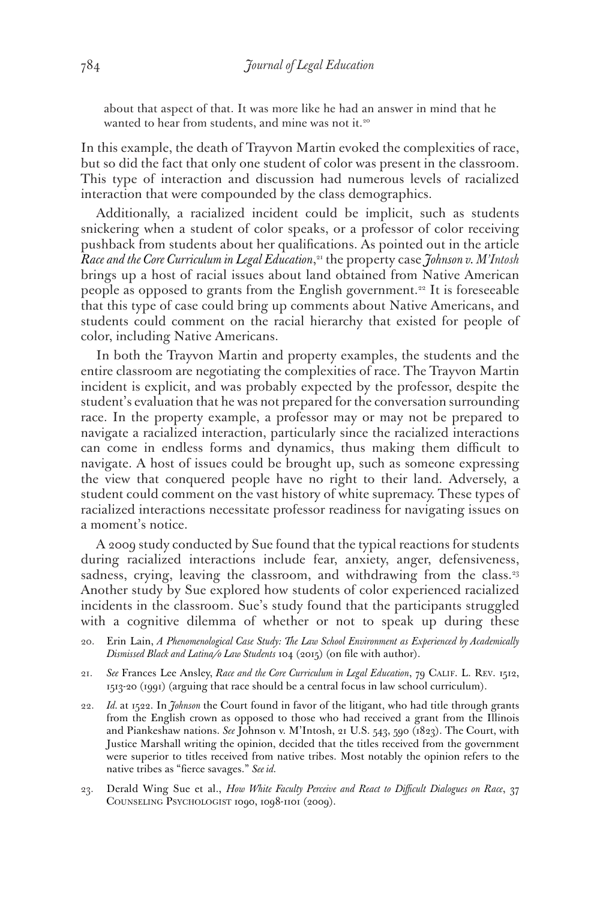about that aspect of that. It was more like he had an answer in mind that he wanted to hear from students, and mine was not it.<sup>20</sup>

In this example, the death of Trayvon Martin evoked the complexities of race, but so did the fact that only one student of color was present in the classroom. This type of interaction and discussion had numerous levels of racialized interaction that were compounded by the class demographics.

Additionally, a racialized incident could be implicit, such as students snickering when a student of color speaks, or a professor of color receiving pushback from students about her qualifications. As pointed out in the article *Race and the Core Curriculum in Legal Education*, <sup>21</sup> the property case *Johnson v. M'Intosh*  brings up a host of racial issues about land obtained from Native American people as opposed to grants from the English government.<sup>22</sup> It is foreseeable that this type of case could bring up comments about Native Americans, and students could comment on the racial hierarchy that existed for people of color, including Native Americans.

In both the Trayvon Martin and property examples, the students and the entire classroom are negotiating the complexities of race. The Trayvon Martin incident is explicit, and was probably expected by the professor, despite the student's evaluation that he was not prepared for the conversation surrounding race. In the property example, a professor may or may not be prepared to navigate a racialized interaction, particularly since the racialized interactions can come in endless forms and dynamics, thus making them difficult to navigate. A host of issues could be brought up, such as someone expressing the view that conquered people have no right to their land. Adversely, a student could comment on the vast history of white supremacy. These types of racialized interactions necessitate professor readiness for navigating issues on a moment's notice.

A 2009 study conducted by Sue found that the typical reactions for students during racialized interactions include fear, anxiety, anger, defensiveness, sadness, crying, leaving the classroom, and withdrawing from the class.<sup>23</sup> Another study by Sue explored how students of color experienced racialized incidents in the classroom. Sue's study found that the participants struggled with a cognitive dilemma of whether or not to speak up during these

- 20. Erin Lain, *A Phenomenological Case Study: The Law School Environment as Experienced by Academically Dismissed Black and Latina/o Law Students* 104 (2015) (on file with author).
- 21. *See* Frances Lee Ansley, *Race and the Core Curriculum in Legal Education*, 79 Calif. L. Rev. 1512, 1513-20 (1991) (arguing that race should be a central focus in law school curriculum).
- 22. *Id.* at 1522. In *Johnson* the Court found in favor of the litigant, who had title through grants from the English crown as opposed to those who had received a grant from the Illinois and Piankeshaw nations. *See* Johnson v. M'Intosh, 21 U.S. 543, 590 (1823). The Court, with Justice Marshall writing the opinion, decided that the titles received from the government were superior to titles received from native tribes. Most notably the opinion refers to the native tribes as "fierce savages." *See id.*
- 23. Derald Wing Sue et al., *How White Faculty Perceive and React to Difficult Dialogues on Race*, 37 Counseling Psychologist 1090, 1098-1101 (2009).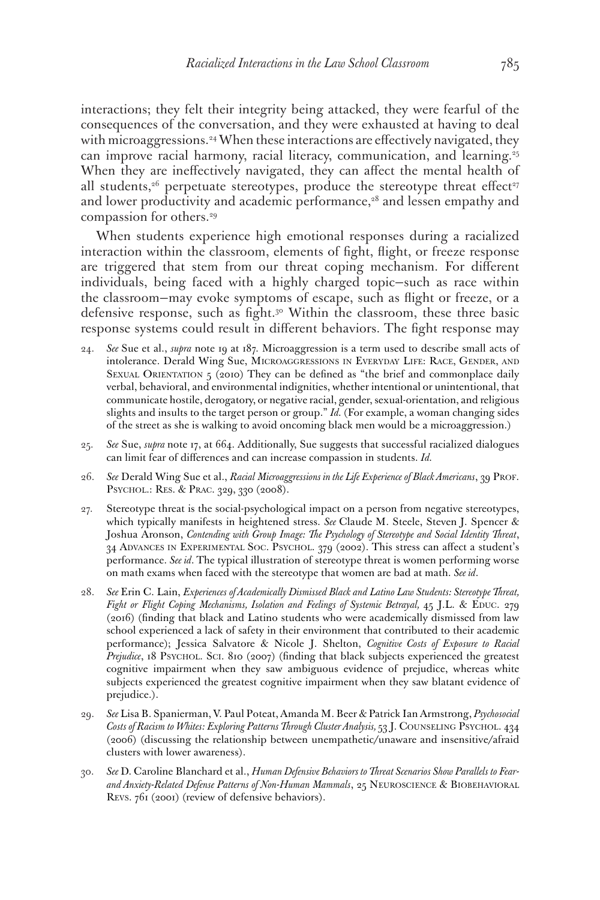interactions; they felt their integrity being attacked, they were fearful of the consequences of the conversation, and they were exhausted at having to deal with microaggressions.<sup>24</sup> When these interactions are effectively navigated, they can improve racial harmony, racial literacy, communication, and learning.<sup>25</sup> When they are ineffectively navigated, they can affect the mental health of all students, $26$  perpetuate stereotypes, produce the stereotype threat effect<sup>27</sup> and lower productivity and academic performance, $28$  and lessen empathy and compassion for others.<sup>29</sup>

When students experience high emotional responses during a racialized interaction within the classroom, elements of fight, flight, or freeze response are triggered that stem from our threat coping mechanism. For different individuals, being faced with a highly charged topic—such as race within the classroom—may evoke symptoms of escape, such as flight or freeze, or a defensive response, such as fight.<sup>30</sup> Within the classroom, these three basic response systems could result in different behaviors. The fight response may

- 24. *See* Sue et al., *supra* note 19 at 187. Microaggression is a term used to describe small acts of intolerance. Derald Wing Sue, Microaggressions in Everyday Life: Race, Gender, and SEXUAL ORIENTATION  $5$  (2010) They can be defined as "the brief and commonplace daily verbal, behavioral, and environmental indignities, whether intentional or unintentional, that communicate hostile, derogatory, or negative racial, gender, sexual-orientation, and religious slights and insults to the target person or group." *Id.* (For example, a woman changing sides of the street as she is walking to avoid oncoming black men would be a microaggression.)
- 25. *See* Sue, *supra* note 17, at 664. Additionally, Sue suggests that successful racialized dialogues can limit fear of differences and can increase compassion in students. *Id.*
- 26. *See* Derald Wing Sue et al., *Racial Microaggressions in the Life Experience of Black Americans*, 39 Prof. Psychol.: Res. & Prac. 329, 330 (2008).
- 27. Stereotype threat is the social-psychological impact on a person from negative stereotypes, which typically manifests in heightened stress. *See* Claude M. Steele, Steven J. Spencer & Joshua Aronson, *Contending with Group Image: The Psychology of Stereotype and Social Identity Threat*, 34 Advances in Experimental Soc. Psychol. 379 (2002). This stress can affect a student's performance. *See id*. The typical illustration of stereotype threat is women performing worse on math exams when faced with the stereotype that women are bad at math. *See id*.
- 28. *See* Erin C. Lain, *Experiences of Academically Dismissed Black and Latino Law Students: Stereotype Threat,*  Fight or Flight Coping Mechanisms, Isolation and Feelings of Systemic Betrayal, 45 J.L. & EDUC. 279 (2016) (finding that black and Latino students who were academically dismissed from law school experienced a lack of safety in their environment that contributed to their academic performance); Jessica Salvatore & Nicole J. Shelton, *Cognitive Costs of Exposure to Racial Prejudice*, 18 Psychol. Sci. 810 (2007) (finding that black subjects experienced the greatest cognitive impairment when they saw ambiguous evidence of prejudice, whereas white subjects experienced the greatest cognitive impairment when they saw blatant evidence of prejudice.).
- 29. *See* Lisa B. Spanierman, V. Paul Poteat, Amanda M. Beer & Patrick Ian Armstrong, *Psychosocial*  Costs of Racism to Whites: Exploring Patterns Through Cluster Analysis, 53 J. COUNSELING PSYCHOL. 434 (2006) (discussing the relationship between unempathetic/unaware and insensitive/afraid clusters with lower awareness).
- 30. *See* D. Caroline Blanchard et al., *Human Defensive Behaviors to Threat Scenarios Show Parallels to Fear*and Anxiety-Related Defense Patterns of Non-Human Mammals, 25 NEUROSCIENCE & BIOBEHAVIORAL Revs. 761 (2001) (review of defensive behaviors).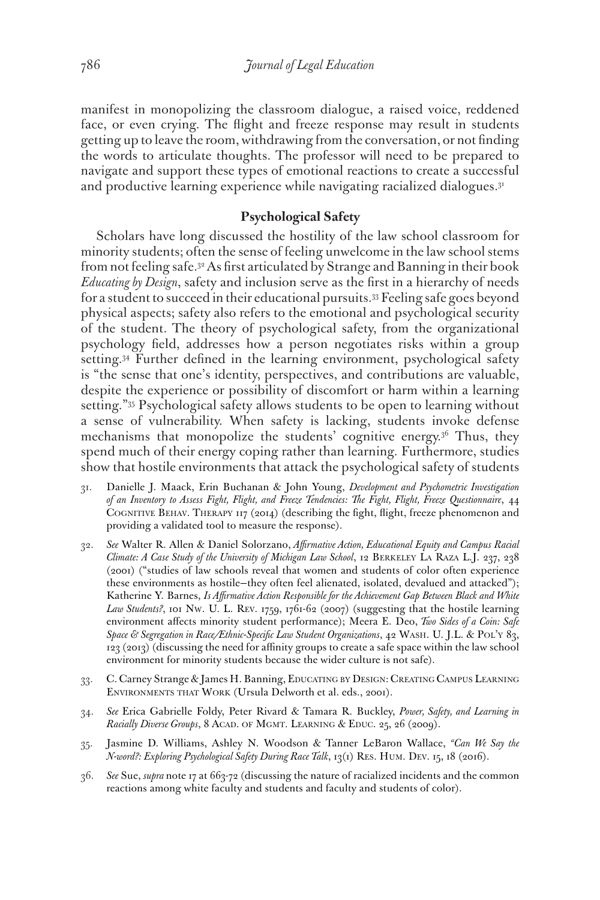manifest in monopolizing the classroom dialogue, a raised voice, reddened face, or even crying. The flight and freeze response may result in students getting up to leave the room, withdrawing from the conversation, or not finding the words to articulate thoughts. The professor will need to be prepared to navigate and support these types of emotional reactions to create a successful and productive learning experience while navigating racialized dialogues.<sup>31</sup>

# **Psychological Safety**

Scholars have long discussed the hostility of the law school classroom for minority students; often the sense of feeling unwelcome in the law school stems from not feeling safe.32 As first articulated by Strange and Banning in their book *Educating by Design*, safety and inclusion serve as the first in a hierarchy of needs for a student to succeed in their educational pursuits.33 Feeling safe goes beyond physical aspects; safety also refers to the emotional and psychological security of the student. The theory of psychological safety, from the organizational psychology field, addresses how a person negotiates risks within a group setting.<sup>34</sup> Further defined in the learning environment, psychological safety is "the sense that one's identity, perspectives, and contributions are valuable, despite the experience or possibility of discomfort or harm within a learning setting."35 Psychological safety allows students to be open to learning without a sense of vulnerability. When safety is lacking, students invoke defense mechanisms that monopolize the students' cognitive energy.36 Thus, they spend much of their energy coping rather than learning. Furthermore, studies show that hostile environments that attack the psychological safety of students

- 31. Danielle J. Maack, Erin Buchanan & John Young, *Development and Psychometric Investigation of an Inventory to Assess Fight, Flight, and Freeze Tendencies: The Fight, Flight, Freeze Questionnaire*, 44 Cognitive Behav. Therapy 117 (2014) (describing the fight, flight, freeze phenomenon and providing a validated tool to measure the response).
- 32. *See* Walter R. Allen & Daniel Solorzano, *Affirmative Action, Educational Equity and Campus Racial Climate: A Case Study of the University of Michigan Law School*, 12 Berkeley La Raza L.J. 237, 238 (2001) ("studies of law schools reveal that women and students of color often experience these environments as hostile—they often feel alienated, isolated, devalued and attacked"); Katherine Y. Barnes, *Is Affirmative Action Responsible for the Achievement Gap Between Black and White*  Law Students?, 101 Nw. U. L. REV. 1759, 1761-62 (2007) (suggesting that the hostile learning environment affects minority student performance); Meera E. Deo, *Two Sides of a Coin: Safe Space & Segregation in Race/Ethnic-Specific Law Student Organizations*, 42 Wash. U. J.L. & Pol'y 83, 123 (2013) (discussing the need for affinity groups to create a safe space within the law school environment for minority students because the wider culture is not safe).
- 33. C. Carney Strange & James H. Banning, Educating by Design: Creating Campus Learning Environments that Work (Ursula Delworth et al. eds., 2001).
- 34. *See* Erica Gabrielle Foldy, Peter Rivard & Tamara R. Buckley, *Power, Safety, and Learning in Racially Diverse Groups*, 8 ACAD. OF MGMT. LEARNING & EDUC. 25, 26 (2009).
- 35. Jasmine D. Williams, Ashley N. Woodson & Tanner LeBaron Wallace, *"Can We Say the N-word?: Exploring Psychological Safety During Race Talk*, 13(1) Res. Hum. Dev. 15, 18 (2016).
- 36. *See* Sue, *supra* note 17 at 663-72 (discussing the nature of racialized incidents and the common reactions among white faculty and students and faculty and students of color).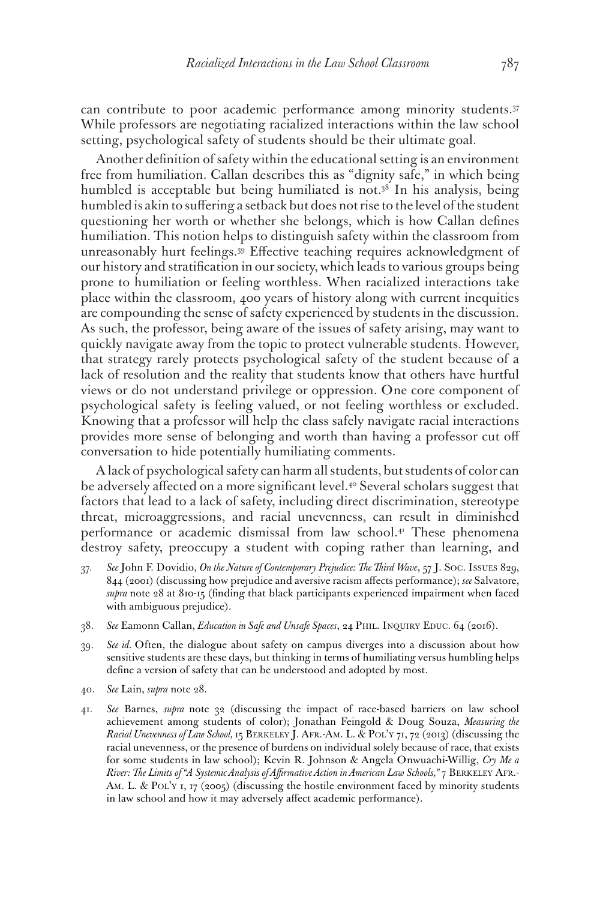can contribute to poor academic performance among minority students.37 While professors are negotiating racialized interactions within the law school setting, psychological safety of students should be their ultimate goal.

Another definition of safety within the educational setting is an environment free from humiliation. Callan describes this as "dignity safe," in which being humbled is acceptable but being humiliated is not. $3<sup>8</sup>$  In his analysis, being humbled is akin to suffering a setback but does not rise to the level of the student questioning her worth or whether she belongs, which is how Callan defines humiliation. This notion helps to distinguish safety within the classroom from unreasonably hurt feelings.39 Effective teaching requires acknowledgment of our history and stratification in our society, which leads to various groups being prone to humiliation or feeling worthless. When racialized interactions take place within the classroom, 400 years of history along with current inequities are compounding the sense of safety experienced by students in the discussion. As such, the professor, being aware of the issues of safety arising, may want to quickly navigate away from the topic to protect vulnerable students. However, that strategy rarely protects psychological safety of the student because of a lack of resolution and the reality that students know that others have hurtful views or do not understand privilege or oppression. One core component of psychological safety is feeling valued, or not feeling worthless or excluded. Knowing that a professor will help the class safely navigate racial interactions provides more sense of belonging and worth than having a professor cut off conversation to hide potentially humiliating comments.

A lack of psychological safety can harm all students, but students of color can be adversely affected on a more significant level.<sup>40</sup> Several scholars suggest that factors that lead to a lack of safety, including direct discrimination, stereotype threat, microaggressions, and racial unevenness, can result in diminished performance or academic dismissal from law school.<sup>41</sup> These phenomena destroy safety, preoccupy a student with coping rather than learning, and

- 37. *See* John F. Dovidio, *On the Nature of Contemporary Prejudice: The Third Wave*, 57 J. Soc. Issues 829, 844 (2001) (discussing how prejudice and aversive racism affects performance); *see* Salvatore, *supra* note 28 at 810-15 (finding that black participants experienced impairment when faced with ambiguous prejudice).
- 38. *See* Eamonn Callan, *Education in Safe and Unsafe Spaces*, 24 Phil. Inquiry Educ. 64 (2016).
- 39. *See id.* Often, the dialogue about safety on campus diverges into a discussion about how sensitive students are these days, but thinking in terms of humiliating versus humbling helps define a version of safety that can be understood and adopted by most.
- 40. *See* Lain, *supra* note 28.
- 41. *See* Barnes, *supra* note 32 (discussing the impact of race-based barriers on law school achievement among students of color); Jonathan Feingold & Doug Souza, *Measuring the Racial Unevenness of Law School,* 15 Berkeley J. Afr.-Am. L. & Pol'y 71, 72 (2013) (discussing the racial unevenness, or the presence of burdens on individual solely because of race, that exists for some students in law school); Kevin R. Johnson & Angela Onwuachi-Willig, *Cry Me a River: The Limits of "A Systemic Analysis of Affirmative Action in American Law Schools,"* 7 Berkeley Afr.- AM. L. & POL'Y 1, 17 (2005) (discussing the hostile environment faced by minority students in law school and how it may adversely affect academic performance).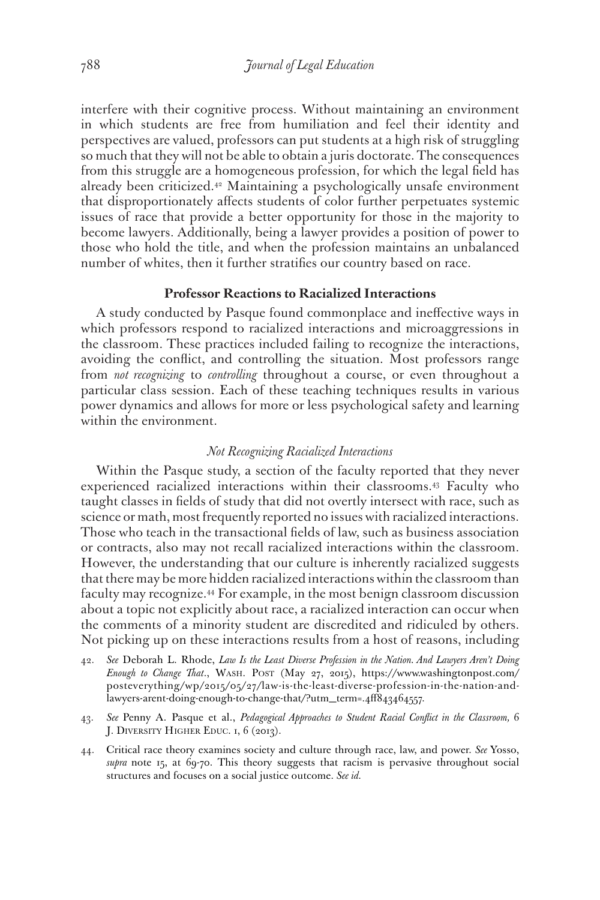interfere with their cognitive process. Without maintaining an environment in which students are free from humiliation and feel their identity and perspectives are valued, professors can put students at a high risk of struggling so much that they will not be able to obtain a juris doctorate. The consequences from this struggle are a homogeneous profession, for which the legal field has already been criticized.<sup>42</sup> Maintaining a psychologically unsafe environment that disproportionately affects students of color further perpetuates systemic issues of race that provide a better opportunity for those in the majority to become lawyers. Additionally, being a lawyer provides a position of power to those who hold the title, and when the profession maintains an unbalanced number of whites, then it further stratifies our country based on race.

## **Professor Reactions to Racialized Interactions**

A study conducted by Pasque found commonplace and ineffective ways in which professors respond to racialized interactions and microaggressions in the classroom. These practices included failing to recognize the interactions, avoiding the conflict, and controlling the situation. Most professors range from *not recognizing* to *controlling* throughout a course, or even throughout a particular class session. Each of these teaching techniques results in various power dynamics and allows for more or less psychological safety and learning within the environment.

## *Not Recognizing Racialized Interactions*

Within the Pasque study, a section of the faculty reported that they never experienced racialized interactions within their classrooms.43 Faculty who taught classes in fields of study that did not overtly intersect with race, such as science or math, most frequently reported no issues with racialized interactions. Those who teach in the transactional fields of law, such as business association or contracts, also may not recall racialized interactions within the classroom. However, the understanding that our culture is inherently racialized suggests that there may be more hidden racialized interactions within the classroom than faculty may recognize.44 For example, in the most benign classroom discussion about a topic not explicitly about race, a racialized interaction can occur when the comments of a minority student are discredited and ridiculed by others. Not picking up on these interactions results from a host of reasons, including

- 42. *See* Deborah L. Rhode, *Law Is the Least Diverse Profession in the Nation. And Lawyers Aren't Doing Enough to Change That*., Wash. Post (May 27, 2015), https://www.washingtonpost.com/ posteverything/wp/2015/05/27/law-is-the-least-diverse-profession-in-the-nation-andlawyers-arent-doing-enough-to-change-that/?utm\_term=.4ff843464557.
- 43. *See* Penny A. Pasque et al., *Pedagogical Approaches to Student Racial Conflict in the Classroom,* 6 J. Diversity Higher Educ. 1, 6 (2013).
- 44. Critical race theory examines society and culture through race, law, and power. *See* Yosso, *supra* note 15, at 69-70. This theory suggests that racism is pervasive throughout social structures and focuses on a social justice outcome. *See id.*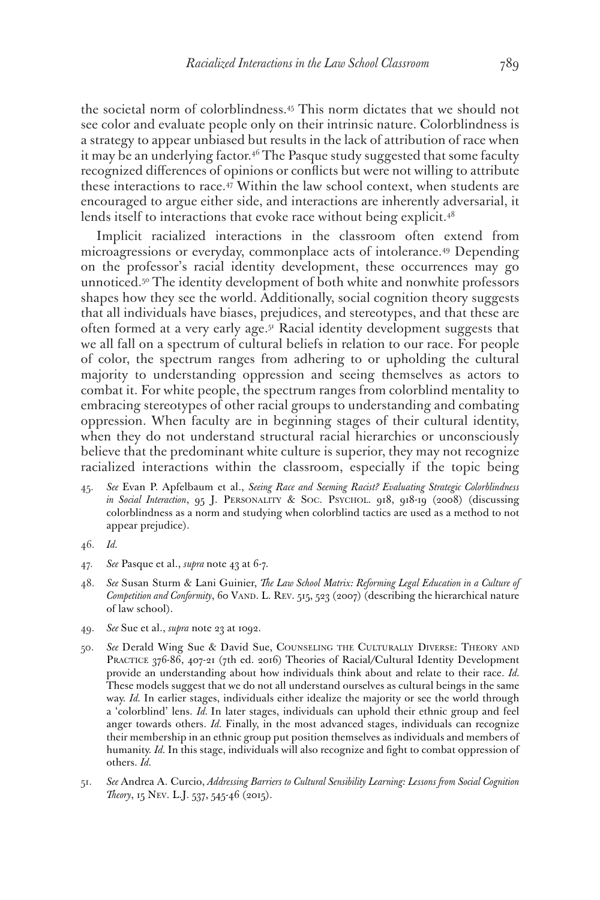the societal norm of colorblindness.45 This norm dictates that we should not see color and evaluate people only on their intrinsic nature. Colorblindness is a strategy to appear unbiased but results in the lack of attribution of race when it may be an underlying factor.<sup>46</sup> The Pasque study suggested that some faculty recognized differences of opinions or conflicts but were not willing to attribute these interactions to race.47 Within the law school context, when students are encouraged to argue either side, and interactions are inherently adversarial, it lends itself to interactions that evoke race without being explicit.<sup>48</sup>

Implicit racialized interactions in the classroom often extend from microagressions or everyday, commonplace acts of intolerance.49 Depending on the professor's racial identity development, these occurrences may go unnoticed.<sup>50</sup> The identity development of both white and nonwhite professors shapes how they see the world. Additionally, social cognition theory suggests that all individuals have biases, prejudices, and stereotypes, and that these are often formed at a very early age.51 Racial identity development suggests that we all fall on a spectrum of cultural beliefs in relation to our race. For people of color, the spectrum ranges from adhering to or upholding the cultural majority to understanding oppression and seeing themselves as actors to combat it. For white people, the spectrum ranges from colorblind mentality to embracing stereotypes of other racial groups to understanding and combating oppression. When faculty are in beginning stages of their cultural identity, when they do not understand structural racial hierarchies or unconsciously believe that the predominant white culture is superior, they may not recognize racialized interactions within the classroom, especially if the topic being

- 45. *See* Evan P. Apfelbaum et al., *Seeing Race and Seeming Racist? Evaluating Strategic Colorblindness in Social Interaction*, 95 J. PERSONALITY & SOC. PSYCHOL. 918, 918-19 (2008) (discussing colorblindness as a norm and studying when colorblind tactics are used as a method to not appear prejudice).
- 46. *Id.*
- 47. *See* Pasque et al., *supra* note 43 at 6-7.
- 48. *See* Susan Sturm & Lani Guinier, *The Law School Matrix: Reforming Legal Education in a Culture of Competition and Conformity*, 60 VAND. L. REV. 515, 523 (2007) (describing the hierarchical nature of law school).
- 49. *See* Sue et al., *supra* note 23 at 1092.
- 50. *See* Derald Wing Sue & David Sue, Counseling the Culturally Diverse: Theory and PRACTICE 376-86, 407-21 (7th ed. 2016) Theories of Racial/Cultural Identity Development provide an understanding about how individuals think about and relate to their race. *Id.*  These models suggest that we do not all understand ourselves as cultural beings in the same way. *Id.* In earlier stages, individuals either idealize the majority or see the world through a 'colorblind' lens. *Id.* In later stages, individuals can uphold their ethnic group and feel anger towards others. *Id.* Finally, in the most advanced stages, individuals can recognize their membership in an ethnic group put position themselves as individuals and members of humanity. *Id.* In this stage, individuals will also recognize and fight to combat oppression of others. *Id.*
- 51. *See* Andrea A. Curcio, *Addressing Barriers to Cultural Sensibility Learning: Lessons from Social Cognition Theory*, 15 Nev. L.J. 537, 545-46 (2015).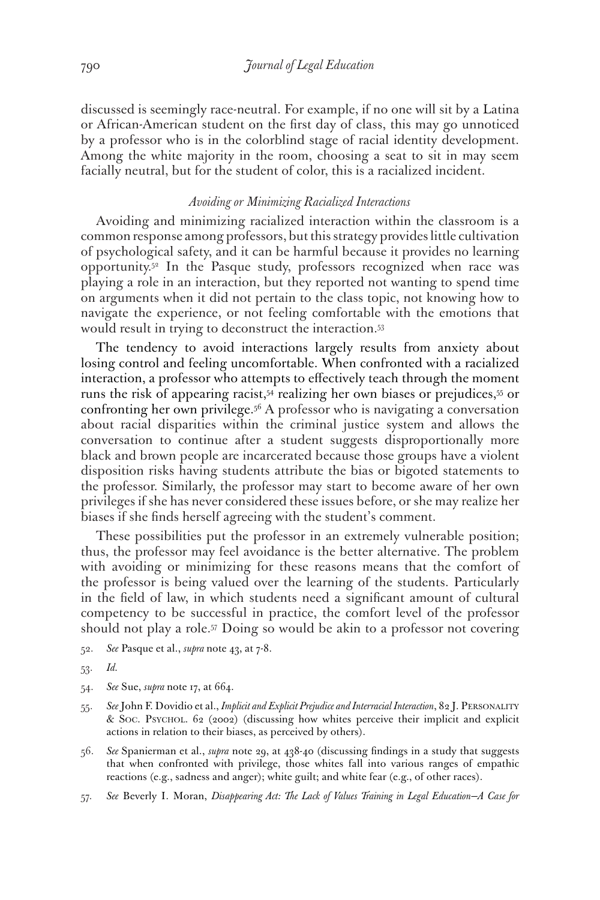discussed is seemingly race-neutral. For example, if no one will sit by a Latina or African-American student on the first day of class, this may go unnoticed by a professor who is in the colorblind stage of racial identity development. Among the white majority in the room, choosing a seat to sit in may seem facially neutral, but for the student of color, this is a racialized incident.

### *Avoiding or Minimizing Racialized Interactions*

Avoiding and minimizing racialized interaction within the classroom is a common response among professors, but this strategy provides little cultivation of psychological safety, and it can be harmful because it provides no learning opportunity.52 In the Pasque study, professors recognized when race was playing a role in an interaction, but they reported not wanting to spend time on arguments when it did not pertain to the class topic, not knowing how to navigate the experience, or not feeling comfortable with the emotions that would result in trying to deconstruct the interaction.53

The tendency to avoid interactions largely results from anxiety about losing control and feeling uncomfortable. When confronted with a racialized interaction, a professor who attempts to effectively teach through the moment runs the risk of appearing racist,54 realizing her own biases or prejudices,55 or confronting her own privilege.56 A professor who is navigating a conversation about racial disparities within the criminal justice system and allows the conversation to continue after a student suggests disproportionally more black and brown people are incarcerated because those groups have a violent disposition risks having students attribute the bias or bigoted statements to the professor. Similarly, the professor may start to become aware of her own privileges if she has never considered these issues before, or she may realize her biases if she finds herself agreeing with the student's comment.

These possibilities put the professor in an extremely vulnerable position; thus, the professor may feel avoidance is the better alternative. The problem with avoiding or minimizing for these reasons means that the comfort of the professor is being valued over the learning of the students. Particularly in the field of law, in which students need a significant amount of cultural competency to be successful in practice, the comfort level of the professor should not play a role.57 Doing so would be akin to a professor not covering

- 52. *See* Pasque et al., *supra* note 43, at 7-8.
- 53. *Id.*
- 54. *See* Sue, *supra* note 17, at 664.
- 55. *See* John F. Dovidio et al., *Implicit and Explicit Prejudice and Interracial Interaction*, 82 J. Personality & Soc. Psychol. 62 (2002) (discussing how whites perceive their implicit and explicit actions in relation to their biases, as perceived by others).
- 56. *See* Spanierman et al., *supra* note 29, at 438-40 (discussing findings in a study that suggests that when confronted with privilege, those whites fall into various ranges of empathic reactions (e.g., sadness and anger); white guilt; and white fear (e.g., of other races).
- 57. *See* Beverly I. Moran, *Disappearing Act: The Lack of Values Training in Legal Education—A Case for*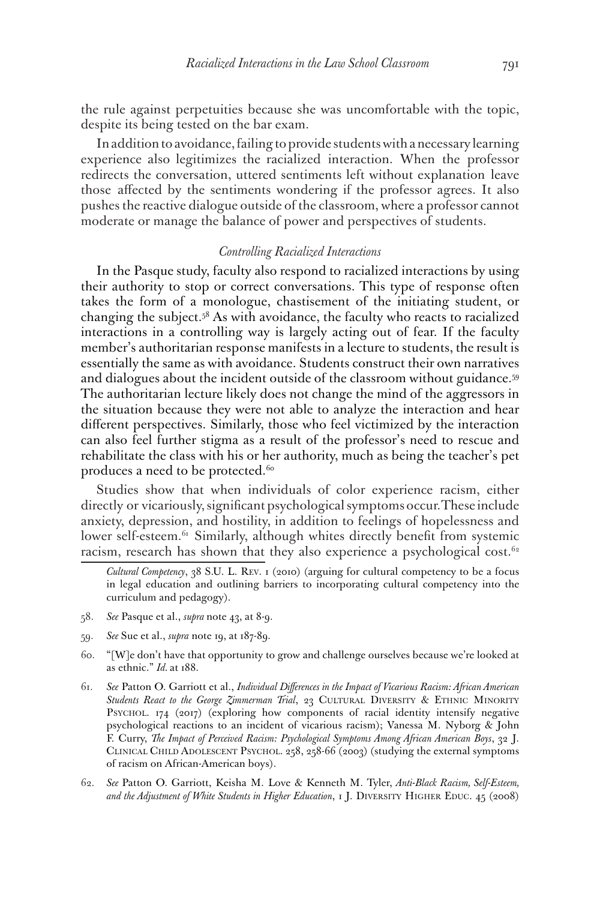the rule against perpetuities because she was uncomfortable with the topic, despite its being tested on the bar exam.

In addition to avoidance, failing to provide students with a necessary learning experience also legitimizes the racialized interaction. When the professor redirects the conversation, uttered sentiments left without explanation leave those affected by the sentiments wondering if the professor agrees. It also pushes the reactive dialogue outside of the classroom, where a professor cannot moderate or manage the balance of power and perspectives of students.

#### *Controlling Racialized Interactions*

In the Pasque study, faculty also respond to racialized interactions by using their authority to stop or correct conversations. This type of response often takes the form of a monologue, chastisement of the initiating student, or changing the subject.58 As with avoidance, the faculty who reacts to racialized interactions in a controlling way is largely acting out of fear. If the faculty member's authoritarian response manifests in a lecture to students, the result is essentially the same as with avoidance. Students construct their own narratives and dialogues about the incident outside of the classroom without guidance.<sup>59</sup> The authoritarian lecture likely does not change the mind of the aggressors in the situation because they were not able to analyze the interaction and hear different perspectives. Similarly, those who feel victimized by the interaction can also feel further stigma as a result of the professor's need to rescue and rehabilitate the class with his or her authority, much as being the teacher's pet produces a need to be protected.<sup>60</sup>

Studies show that when individuals of color experience racism, either directly or vicariously, significant psychological symptoms occur. These include anxiety, depression, and hostility, in addition to feelings of hopelessness and lower self-esteem.<sup>61</sup> Similarly, although whites directly benefit from systemic racism, research has shown that they also experience a psychological cost.<sup>62</sup>

- 58. *See* Pasque et al., *supra* note 43, at 8-9.
- 59. *See* Sue et al., *supra* note 19, at 187-89.
- 60. "[W]e don't have that opportunity to grow and challenge ourselves because we're looked at as ethnic." *Id.* at 188.
- 61. *See* Patton O. Garriott et al., *Individual Differences in the Impact of Vicarious Racism: African American*  Students React to the George Zimmerman Trial, 23 CULTURAL DIVERSITY & ETHNIC MINORITY Psychol. 174 (2017) (exploring how components of racial identity intensify negative psychological reactions to an incident of vicarious racism); Vanessa M. Nyborg & John F. Curry, *The Impact of Perceived Racism: Psychological Symptoms Among African American Boys*, 32 J. Clinical Child Adolescent Psychol. 258, 258-66 (2003) (studying the external symptoms of racism on African-American boys).
- 62. *See* Patton O. Garriott, Keisha M. Love & Kenneth M. Tyler, *Anti-Black Racism, Self-Esteem, and the Adjustment of White Students in Higher Education*, 1 J. Diversity Higher Educ. 45 (2008)

*Cultural Competency*, 38 S.U. L. Rev. 1 (2010) (arguing for cultural competency to be a focus in legal education and outlining barriers to incorporating cultural competency into the curriculum and pedagogy).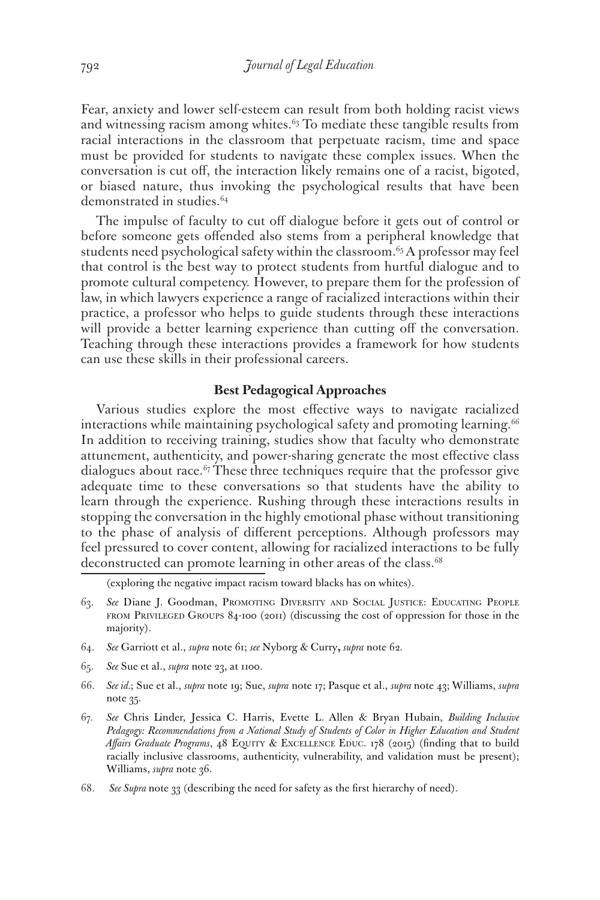Fear, anxiety and lower self-esteem can result from both holding racist views and witnessing racism among whites. $63$  To mediate these tangible results from racial interactions in the classroom that perpetuate racism, time and space must be provided for students to navigate these complex issues. When the conversation is cut off, the interaction likely remains one of a racist, bigoted, or biased nature, thus invoking the psychological results that have been demonstrated in studies.64

The impulse of faculty to cut off dialogue before it gets out of control or before someone gets offended also stems from a peripheral knowledge that students need psychological safety within the classroom.<sup>65</sup> A professor may feel that control is the best way to protect students from hurtful dialogue and to promote cultural competency. However, to prepare them for the profession of law, in which lawyers experience a range of racialized interactions within their practice, a professor who helps to guide students through these interactions will provide a better learning experience than cutting off the conversation. Teaching through these interactions provides a framework for how students can use these skills in their professional careers.

## **Best Pedagogical Approaches**

Various studies explore the most effective ways to navigate racialized interactions while maintaining psychological safety and promoting learning. $66$ In addition to receiving training, studies show that faculty who demonstrate attunement, authenticity, and power-sharing generate the most effective class dialogues about race. $67$  These three techniques require that the professor give adequate time to these conversations so that students have the ability to learn through the experience. Rushing through these interactions results in stopping the conversation in the highly emotional phase without transitioning to the phase of analysis of different perceptions. Although professors may feel pressured to cover content, allowing for racialized interactions to be fully deconstructed can promote learning in other areas of the class.<sup>68</sup>

(exploring the negative impact racism toward blacks has on whites).

- 63. *See* Diane J. Goodman, Promoting Diversity and Social Justice: Educating People from Privileged Groups 84-100 (2011) (discussing the cost of oppression for those in the majority).
- 64. *See* Garriott et al., *supra* note 61; *see* Nyborg & Curry**,** *supra* note 62*.*
- 65. *See* Sue et al., *supra* note 23, at 1100.
- 66. *See id.*; Sue et al., *supra* note 19; Sue, *supra* note 17; Pasque et al., *supra* note 43; Williams, *supra* note 35.
- 67. *See* Chris Linder, Jessica C. Harris, Evette L. Allen & Bryan Hubain, *Building Inclusive Pedagogy: Recommendations from a National Study of Students of Color in Higher Education and Student Affairs Graduate Programs*, 48 Equity & Excellence Educ. 178 (2015) (finding that to build racially inclusive classrooms, authenticity, vulnerability, and validation must be present); Williams, *supra* note 36.
- 68. *See Supra* note 33 (describing the need for safety as the first hierarchy of need).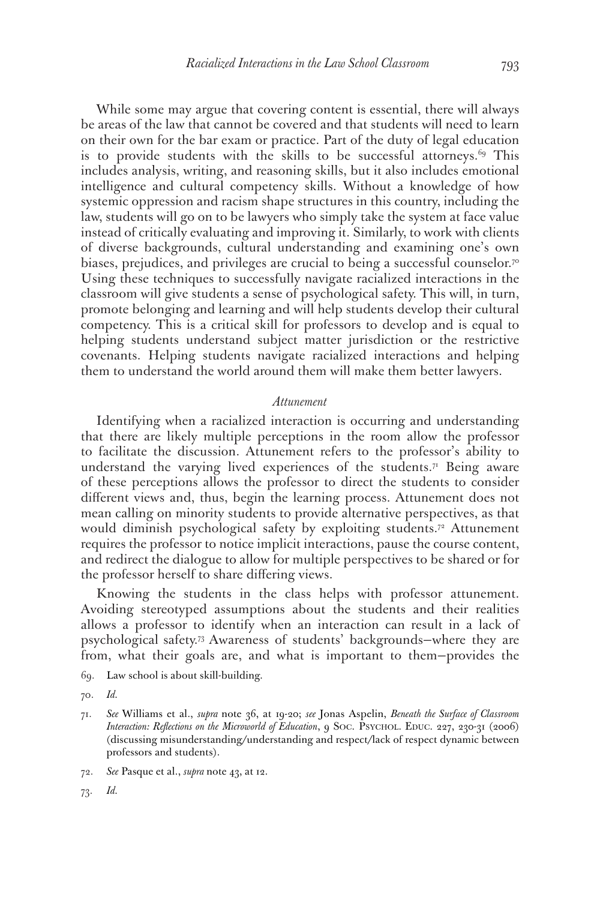While some may argue that covering content is essential, there will always be areas of the law that cannot be covered and that students will need to learn on their own for the bar exam or practice. Part of the duty of legal education is to provide students with the skills to be successful attorneys.<sup>69</sup> This includes analysis, writing, and reasoning skills, but it also includes emotional intelligence and cultural competency skills. Without a knowledge of how systemic oppression and racism shape structures in this country, including the law, students will go on to be lawyers who simply take the system at face value instead of critically evaluating and improving it. Similarly, to work with clients of diverse backgrounds, cultural understanding and examining one's own biases, prejudices, and privileges are crucial to being a successful counselor.70 Using these techniques to successfully navigate racialized interactions in the classroom will give students a sense of psychological safety. This will, in turn, promote belonging and learning and will help students develop their cultural competency. This is a critical skill for professors to develop and is equal to helping students understand subject matter jurisdiction or the restrictive covenants. Helping students navigate racialized interactions and helping them to understand the world around them will make them better lawyers.

#### *Attunement*

Identifying when a racialized interaction is occurring and understanding that there are likely multiple perceptions in the room allow the professor to facilitate the discussion. Attunement refers to the professor's ability to understand the varying lived experiences of the students.<sup>71</sup> Being aware of these perceptions allows the professor to direct the students to consider different views and, thus, begin the learning process. Attunement does not mean calling on minority students to provide alternative perspectives, as that would diminish psychological safety by exploiting students.<sup>72</sup> Attunement requires the professor to notice implicit interactions, pause the course content, and redirect the dialogue to allow for multiple perspectives to be shared or for the professor herself to share differing views.

Knowing the students in the class helps with professor attunement. Avoiding stereotyped assumptions about the students and their realities allows a professor to identify when an interaction can result in a lack of psychological safety.73 Awareness of students' backgrounds—where they are from, what their goals are, and what is important to them—provides the

69. Law school is about skill-building.

70. *Id.*

- 72. *See* Pasque et al., *supra* note 43, at 12.
- 73. *Id.*

<sup>71.</sup> *See* Williams et al., *supra* note 36, at 19-20; *see* Jonas Aspelin, *Beneath the Surface of Classroom Interaction: Reflections on the Microworld of Education*, 9 Soc. Psychol. Educ. 227, 230-31 (2006) (discussing misunderstanding/understanding and respect/lack of respect dynamic between professors and students).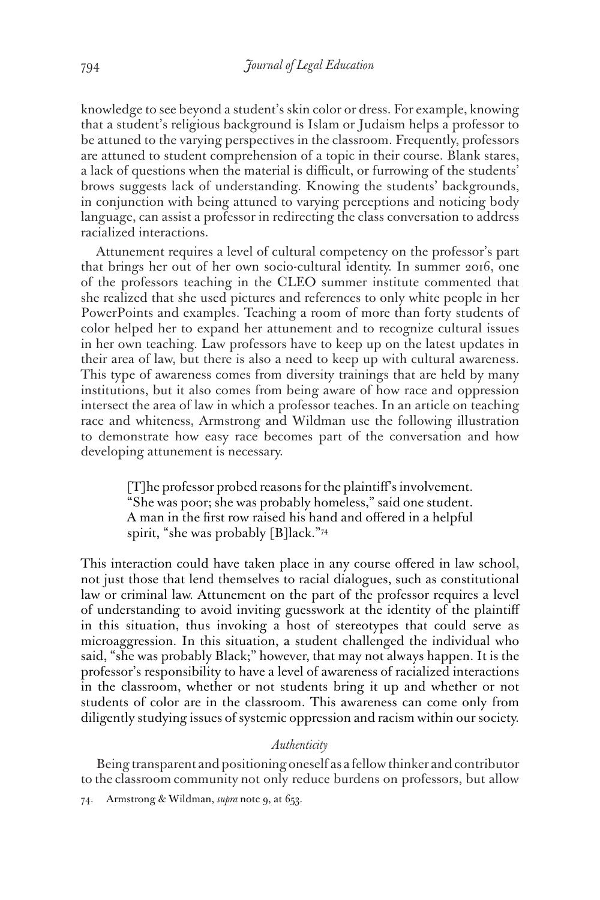knowledge to see beyond a student's skin color or dress. For example, knowing that a student's religious background is Islam or Judaism helps a professor to be attuned to the varying perspectives in the classroom. Frequently, professors are attuned to student comprehension of a topic in their course. Blank stares, a lack of questions when the material is difficult, or furrowing of the students' brows suggests lack of understanding. Knowing the students' backgrounds, in conjunction with being attuned to varying perceptions and noticing body language, can assist a professor in redirecting the class conversation to address racialized interactions.

Attunement requires a level of cultural competency on the professor's part that brings her out of her own socio-cultural identity. In summer 2016, one of the professors teaching in the CLEO summer institute commented that she realized that she used pictures and references to only white people in her PowerPoints and examples. Teaching a room of more than forty students of color helped her to expand her attunement and to recognize cultural issues in her own teaching. Law professors have to keep up on the latest updates in their area of law, but there is also a need to keep up with cultural awareness. This type of awareness comes from diversity trainings that are held by many institutions, but it also comes from being aware of how race and oppression intersect the area of law in which a professor teaches. In an article on teaching race and whiteness, Armstrong and Wildman use the following illustration to demonstrate how easy race becomes part of the conversation and how developing attunement is necessary.

> [T]he professor probed reasons for the plaintiff's involvement. "She was poor; she was probably homeless," said one student. A man in the first row raised his hand and offered in a helpful spirit, "she was probably [B]lack."74

This interaction could have taken place in any course offered in law school, not just those that lend themselves to racial dialogues, such as constitutional law or criminal law. Attunement on the part of the professor requires a level of understanding to avoid inviting guesswork at the identity of the plaintiff in this situation, thus invoking a host of stereotypes that could serve as microaggression. In this situation, a student challenged the individual who said, "she was probably Black;" however, that may not always happen. It is the professor's responsibility to have a level of awareness of racialized interactions in the classroom, whether or not students bring it up and whether or not students of color are in the classroom. This awareness can come only from diligently studying issues of systemic oppression and racism within our society.

## *Authenticity*

Being transparent and positioning oneself as a fellow thinker and contributor to the classroom community not only reduce burdens on professors, but allow

<sup>74.</sup> Armstrong & Wildman, *supra* note 9, at 653.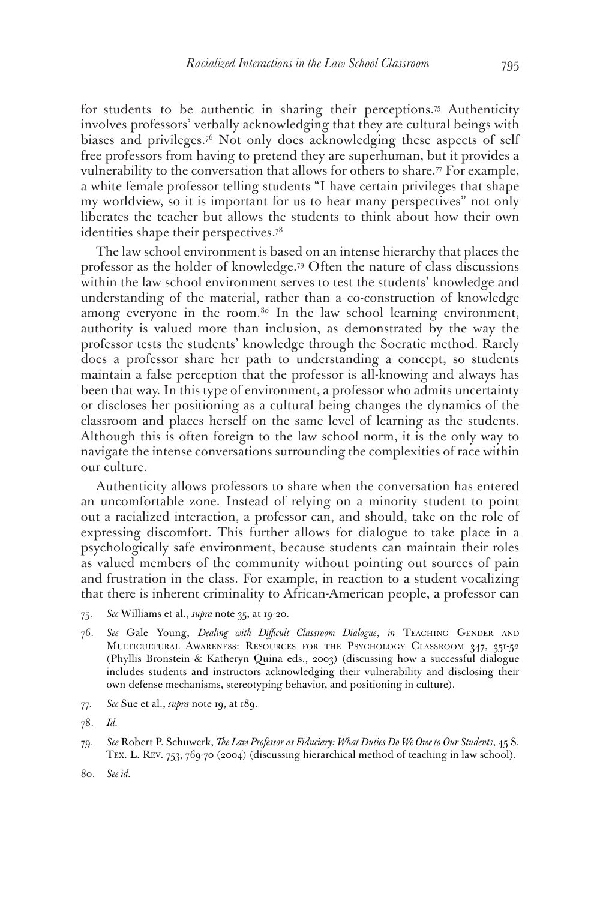for students to be authentic in sharing their perceptions.<sup>75</sup> Authenticity involves professors' verbally acknowledging that they are cultural beings with biases and privileges.76 Not only does acknowledging these aspects of self free professors from having to pretend they are superhuman, but it provides a vulnerability to the conversation that allows for others to share.<sup> $77$ </sup> For example, a white female professor telling students "I have certain privileges that shape my worldview, so it is important for us to hear many perspectives" not only liberates the teacher but allows the students to think about how their own identities shape their perspectives.78

The law school environment is based on an intense hierarchy that places the professor as the holder of knowledge.79 Often the nature of class discussions within the law school environment serves to test the students' knowledge and understanding of the material, rather than a co-construction of knowledge among everyone in the room.<sup>80</sup> In the law school learning environment, authority is valued more than inclusion, as demonstrated by the way the professor tests the students' knowledge through the Socratic method. Rarely does a professor share her path to understanding a concept, so students maintain a false perception that the professor is all-knowing and always has been that way. In this type of environment, a professor who admits uncertainty or discloses her positioning as a cultural being changes the dynamics of the classroom and places herself on the same level of learning as the students. Although this is often foreign to the law school norm, it is the only way to navigate the intense conversations surrounding the complexities of race within our culture.

Authenticity allows professors to share when the conversation has entered an uncomfortable zone. Instead of relying on a minority student to point out a racialized interaction, a professor can, and should, take on the role of expressing discomfort. This further allows for dialogue to take place in a psychologically safe environment, because students can maintain their roles as valued members of the community without pointing out sources of pain and frustration in the class. For example, in reaction to a student vocalizing that there is inherent criminality to African-American people, a professor can

- 75. *See* Williams et al., *supra* note 35, at 19-20.
- 76. *See* Gale Young, *Dealing with Difficult Classroom Dialogue*, *in* Teaching Gender and Multicultural Awareness: Resources for the Psychology Classroom 347, 351-52 (Phyllis Bronstein & Katheryn Quina eds., 2003) (discussing how a successful dialogue includes students and instructors acknowledging their vulnerability and disclosing their own defense mechanisms, stereotyping behavior, and positioning in culture).
- 77. *See* Sue et al., *supra* note 19, at 189.
- 78. *Id.*
- 79. *See* Robert P. Schuwerk, *The Law Professor as Fiduciary: What Duties Do We Owe to Our Students*, 45 S. Tex. L. Rev. 753, 769-70 (2004) (discussing hierarchical method of teaching in law school).

<sup>80.</sup> *See id.*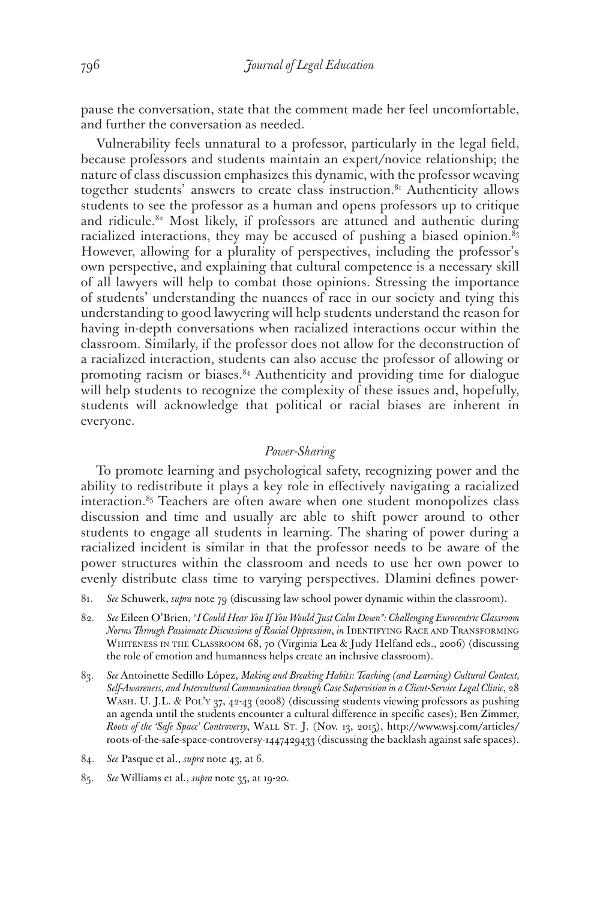pause the conversation, state that the comment made her feel uncomfortable, and further the conversation as needed.

Vulnerability feels unnatural to a professor, particularly in the legal field, because professors and students maintain an expert/novice relationship; the nature of class discussion emphasizes this dynamic, with the professor weaving together students' answers to create class instruction.<sup>81</sup> Authenticity allows students to see the professor as a human and opens professors up to critique and ridicule.<sup>82</sup> Most likely, if professors are attuned and authentic during racialized interactions, they may be accused of pushing a biased opinion. $8<sub>3</sub>$ However, allowing for a plurality of perspectives, including the professor's own perspective, and explaining that cultural competence is a necessary skill of all lawyers will help to combat those opinions. Stressing the importance of students' understanding the nuances of race in our society and tying this understanding to good lawyering will help students understand the reason for having in-depth conversations when racialized interactions occur within the classroom. Similarly, if the professor does not allow for the deconstruction of a racialized interaction, students can also accuse the professor of allowing or promoting racism or biases.<sup>84</sup> Authenticity and providing time for dialogue will help students to recognize the complexity of these issues and, hopefully, students will acknowledge that political or racial biases are inherent in everyone.

## *Power-Sharing*

To promote learning and psychological safety, recognizing power and the ability to redistribute it plays a key role in effectively navigating a racialized interaction.85 Teachers are often aware when one student monopolizes class discussion and time and usually are able to shift power around to other students to engage all students in learning. The sharing of power during a racialized incident is similar in that the professor needs to be aware of the power structures within the classroom and needs to use her own power to evenly distribute class time to varying perspectives. Dlamini defines power-

- 81. *See* Schuwerk, *supra* note 79 (discussing law school power dynamic within the classroom).
- 82. *See* Eileen O'Brien, *"I Could Hear You If You Would Just Calm Down": Challenging Eurocentric Classroom Norms Through Passionate Discussions of Racial Oppression, in IDENTIFYING RACE AND TRANSFORMING* Whiteness in the Classroom 68, 70 (Virginia Lea & Judy Helfand eds., 2006) (discussing the role of emotion and humanness helps create an inclusive classroom).
- 83. *See* Antoinette Sedillo López, *Making and Breaking Habits: Teaching (and Learning) Cultural Context, Self-Awareness, and Intercultural Communication through Case Supervision in a Client-Service Legal Clinic*, 28 WASH. U. J.L. & POL'Y 37, 42-43 (2008) (discussing students viewing professors as pushing an agenda until the students encounter a cultural difference in specific cases); Ben Zimmer, *Roots of the 'Safe Space' Controversy*, Wall St. J. (Nov. 13, 2015), http://www.wsj.com/articles/ roots-of-the-safe-space-controversy-1447429433 (discussing the backlash against safe spaces).
- 84. *See* Pasque et al., *supra* note 43, at 6.
- 85. *See* Williams et al., *supra* note 35, at 19-20.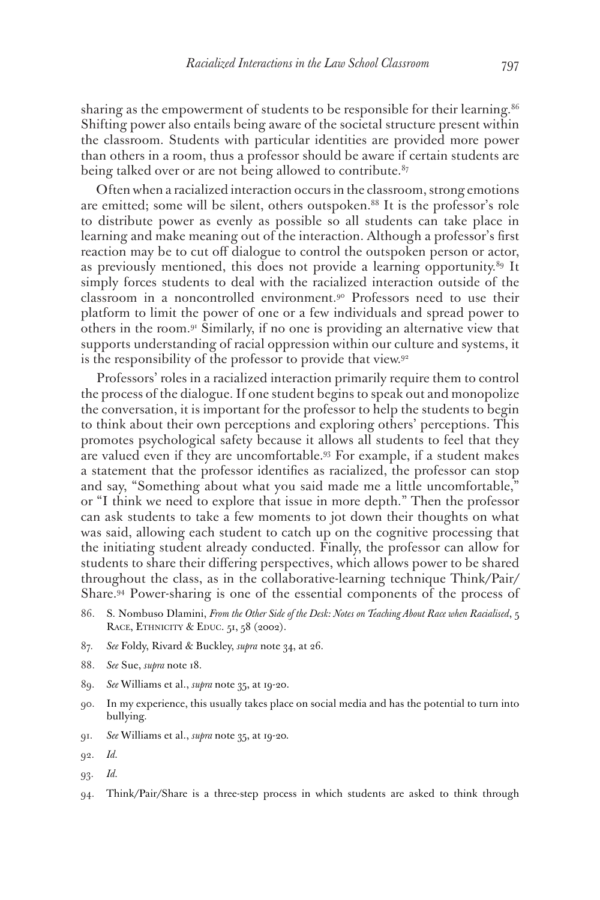sharing as the empowerment of students to be responsible for their learning.<sup>86</sup> Shifting power also entails being aware of the societal structure present within the classroom. Students with particular identities are provided more power than others in a room, thus a professor should be aware if certain students are being talked over or are not being allowed to contribute. $87$ 

Often when a racialized interaction occurs in the classroom, strong emotions are emitted; some will be silent, others outspoken.<sup>88</sup> It is the professor's role to distribute power as evenly as possible so all students can take place in learning and make meaning out of the interaction. Although a professor's first reaction may be to cut off dialogue to control the outspoken person or actor, as previously mentioned, this does not provide a learning opportunity.<sup>89</sup> It simply forces students to deal with the racialized interaction outside of the classroom in a noncontrolled environment.90 Professors need to use their platform to limit the power of one or a few individuals and spread power to others in the room.91 Similarly, if no one is providing an alternative view that supports understanding of racial oppression within our culture and systems, it is the responsibility of the professor to provide that view.<sup>92</sup>

Professors' roles in a racialized interaction primarily require them to control the process of the dialogue. If one student begins to speak out and monopolize the conversation, it is important for the professor to help the students to begin to think about their own perceptions and exploring others' perceptions. This promotes psychological safety because it allows all students to feel that they are valued even if they are uncomfortable.93 For example, if a student makes a statement that the professor identifies as racialized, the professor can stop and say, "Something about what you said made me a little uncomfortable," or "I think we need to explore that issue in more depth." Then the professor can ask students to take a few moments to jot down their thoughts on what was said, allowing each student to catch up on the cognitive processing that the initiating student already conducted. Finally, the professor can allow for students to share their differing perspectives, which allows power to be shared throughout the class, as in the collaborative-learning technique Think/Pair/ Share.94 Power-sharing is one of the essential components of the process of

- 86. S. Nombuso Dlamini, *From the Other Side of the Desk: Notes on Teaching About Race when Racialised*, 5 RACE, ETHNICITY & EDUC. 51, 58 (2002).
- 87. *See* Foldy, Rivard & Buckley, *supra* note 34, at 26.
- 88. *See* Sue, *supra* note 18.
- 89. *See* Williams et al., *supra* note 35, at 19-20.
- 90. In my experience, this usually takes place on social media and has the potential to turn into bullying.
- 91. *See* Williams et al., *supra* note 35, at 19-20*.*
- 92. *Id.*
- 93. *Id.*
- 94. Think/Pair/Share is a three-step process in which students are asked to think through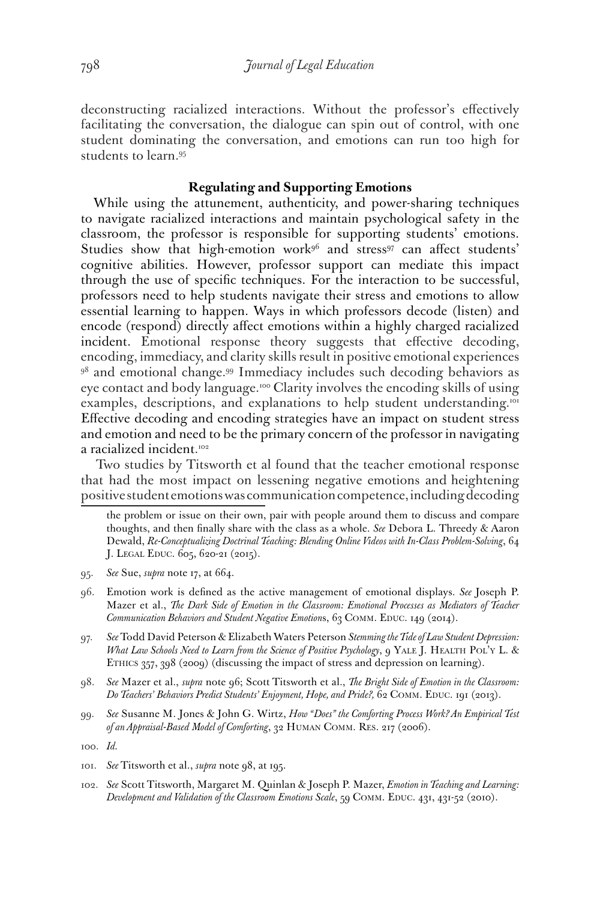deconstructing racialized interactions. Without the professor's effectively facilitating the conversation, the dialogue can spin out of control, with one student dominating the conversation, and emotions can run too high for students to learn.95

## **Regulating and Supporting Emotions**

While using the attunement, authenticity, and power-sharing techniques to navigate racialized interactions and maintain psychological safety in the classroom, the professor is responsible for supporting students' emotions. Studies show that high-emotion work<sup>96</sup> and stress<sup>97</sup> can affect students' cognitive abilities. However, professor support can mediate this impact through the use of specific techniques. For the interaction to be successful, professors need to help students navigate their stress and emotions to allow essential learning to happen. Ways in which professors decode (listen) and encode (respond) directly affect emotions within a highly charged racialized incident. Emotional response theory suggests that effective decoding, encoding, immediacy, and clarity skills result in positive emotional experiences <sup>98</sup> and emotional change.<sup>99</sup> Immediacy includes such decoding behaviors as eye contact and body language.100 Clarity involves the encoding skills of using examples, descriptions, and explanations to help student understanding.<sup>101</sup> Effective decoding and encoding strategies have an impact on student stress and emotion and need to be the primary concern of the professor in navigating a racialized incident. 102

Two studies by Titsworth et al found that the teacher emotional response that had the most impact on lessening negative emotions and heightening positive student emotions was communication competence, including decoding

- 95. *See* Sue, *supra* note 17, at 664.
- 96. Emotion work is defined as the active management of emotional displays. *See* Joseph P. Mazer et al., *The Dark Side of Emotion in the Classroom: Emotional Processes as Mediators of Teacher Communication Behaviors and Student Negative Emotions, 63 COMM. EDUC. 149 (2014).*
- 97. *See* Todd David Peterson & Elizabeth Waters Peterson *Stemming the Tide of Law Student Depression: What Law Schools Need to Learn from the Science of Positive Psychology*, 9 YALE J. HEALTH POL'Y L. & ETHICS 357, 398 (2009) (discussing the impact of stress and depression on learning).
- 98. *See* Mazer et al., *supra* note 96; Scott Titsworth et al., *The Bright Side of Emotion in the Classroom:*  Do Teachers' Behaviors Predict Students' Enjoyment, Hope, and Pride?, 62 COMM. EDUC. 191 (2013).
- 99. *See* Susanne M. Jones & John G. Wirtz, *How "Does" the Comforting Process Work? An Empirical Test of an Appraisal-Based Model of Comforting*, 32 Human Comm. Res. 217 (2006).

- 101. *See* Titsworth et al., *supra* note 98, at 195.
- 102. *See* Scott Titsworth, Margaret M. Quinlan & Joseph P. Mazer, *Emotion in Teaching and Learning:*  Development and Validation of the Classroom Emotions Scale, 59 COMM. EDUC. 431, 431-52 (2010).

the problem or issue on their own, pair with people around them to discuss and compare thoughts, and then finally share with the class as a whole. *See* Debora L. Threedy & Aaron Dewald, *Re-Conceptualizing Doctrinal Teaching: Blending Online Videos with In-Class Problem-Solving*, 64 J. LEGAL EDUC. 605, 620-21 (2015).

<sup>100.</sup> *Id.*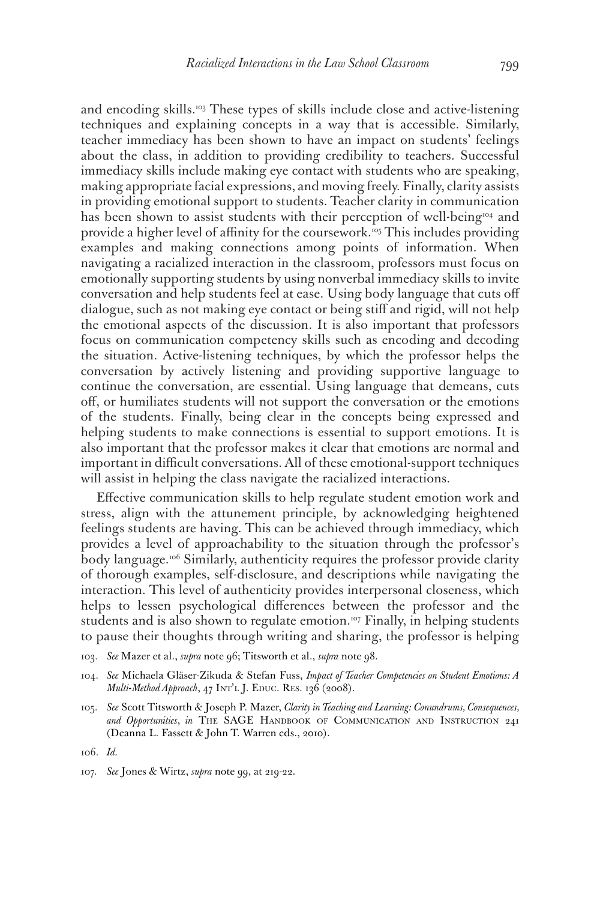and encoding skills.<sup>103</sup> These types of skills include close and active-listening techniques and explaining concepts in a way that is accessible. Similarly, teacher immediacy has been shown to have an impact on students' feelings about the class, in addition to providing credibility to teachers. Successful immediacy skills include making eye contact with students who are speaking, making appropriate facial expressions, and moving freely. Finally, clarity assists in providing emotional support to students. Teacher clarity in communication has been shown to assist students with their perception of well-being<sup>104</sup> and provide a higher level of affinity for the coursework.105 This includes providing examples and making connections among points of information. When navigating a racialized interaction in the classroom, professors must focus on emotionally supporting students by using nonverbal immediacy skills to invite conversation and help students feel at ease. Using body language that cuts off dialogue, such as not making eye contact or being stiff and rigid, will not help the emotional aspects of the discussion. It is also important that professors focus on communication competency skills such as encoding and decoding the situation. Active-listening techniques, by which the professor helps the conversation by actively listening and providing supportive language to continue the conversation, are essential. Using language that demeans, cuts off, or humiliates students will not support the conversation or the emotions of the students. Finally, being clear in the concepts being expressed and helping students to make connections is essential to support emotions. It is also important that the professor makes it clear that emotions are normal and important in difficult conversations. All of these emotional-support techniques will assist in helping the class navigate the racialized interactions.

Effective communication skills to help regulate student emotion work and stress, align with the attunement principle, by acknowledging heightened feelings students are having. This can be achieved through immediacy, which provides a level of approachability to the situation through the professor's body language.106 Similarly, authenticity requires the professor provide clarity of thorough examples, self-disclosure, and descriptions while navigating the interaction. This level of authenticity provides interpersonal closeness, which helps to lessen psychological differences between the professor and the students and is also shown to regulate emotion.<sup>107</sup> Finally, in helping students to pause their thoughts through writing and sharing, the professor is helping

103. *See* Mazer et al., *supra* note 96; Titsworth et al., *supra* note 98.

105. *See* Scott Titsworth & Joseph P. Mazer, *Clarity in Teaching and Learning: Conundrums, Consequences,*  and Opportunities, in THE SAGE HANDBOOK OF COMMUNICATION AND INSTRUCTION 241 (Deanna L. Fassett & John T. Warren eds., 2010).

<sup>104.</sup> *See* Michaela Gläser-Zikuda & Stefan Fuss, *Impact of Teacher Competencies on Student Emotions: A Multi-Method Approach*, 47 INT'L J. EDUC. RES. 136 (2008).

<sup>106.</sup> *Id.*

<sup>107.</sup> *See* Jones & Wirtz, *supra* note 99, at 219-22.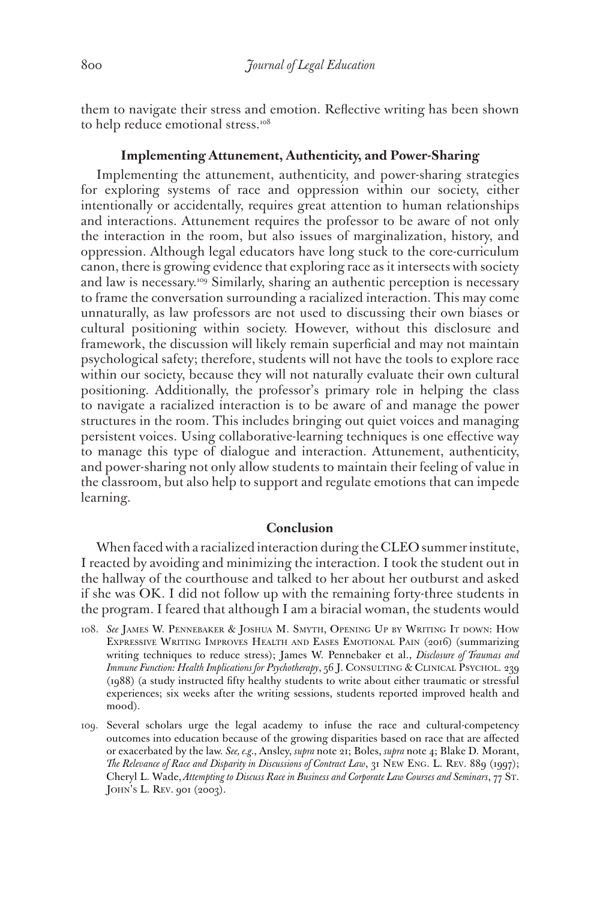them to navigate their stress and emotion. Reflective writing has been shown to help reduce emotional stress.<sup>108</sup>

## **Implementing Attunement, Authenticity, and Power-Sharing**

Implementing the attunement, authenticity, and power-sharing strategies for exploring systems of race and oppression within our society, either intentionally or accidentally, requires great attention to human relationships and interactions. Attunement requires the professor to be aware of not only the interaction in the room, but also issues of marginalization, history, and oppression. Although legal educators have long stuck to the core-curriculum canon, there is growing evidence that exploring race as it intersects with society and law is necessary.<sup>109</sup> Similarly, sharing an authentic perception is necessary to frame the conversation surrounding a racialized interaction. This may come unnaturally, as law professors are not used to discussing their own biases or cultural positioning within society. However, without this disclosure and framework, the discussion will likely remain superficial and may not maintain psychological safety; therefore, students will not have the tools to explore race within our society, because they will not naturally evaluate their own cultural positioning. Additionally, the professor's primary role in helping the class to navigate a racialized interaction is to be aware of and manage the power structures in the room. This includes bringing out quiet voices and managing persistent voices. Using collaborative-learning techniques is one effective way to manage this type of dialogue and interaction. Attunement, authenticity, and power-sharing not only allow students to maintain their feeling of value in the classroom, but also help to support and regulate emotions that can impede learning.

## **Conclusion**

When faced with a racialized interaction during the CLEO summer institute, I reacted by avoiding and minimizing the interaction. I took the student out in the hallway of the courthouse and talked to her about her outburst and asked if she was OK. I did not follow up with the remaining forty-three students in the program. I feared that although I am a biracial woman, the students would

- 108. *See* James W. Pennebaker & Joshua M. Smyth, Opening Up by Writing It down: How Expressive Writing Improves Health and Eases Emotional Pain (2016) (summarizing writing techniques to reduce stress); James W. Pennebaker et al., *Disclosure of Traumas and Immune Function: Health Implications for Psychotherapy*, 56 J. CONSULTING & CLINICAL PSYCHOL. 239 (1988) (a study instructed fifty healthy students to write about either traumatic or stressful experiences; six weeks after the writing sessions, students reported improved health and mood).
- 109. Several scholars urge the legal academy to infuse the race and cultural-competency outcomes into education because of the growing disparities based on race that are affected or exacerbated by the law. *See, e.g.*, Ansley, *supra* note 21; Boles, *supra* note 4; Blake D. Morant, *The Relevance of Race and Disparity in Discussions of Contract Law*, 31 New Eng. L. Rev. 889 (1997); Cheryl L. Wade, *Attempting to Discuss Race in Business and Corporate Law Courses and Seminars*, 77 St. JOHN'S L. REV. 901 (2003).